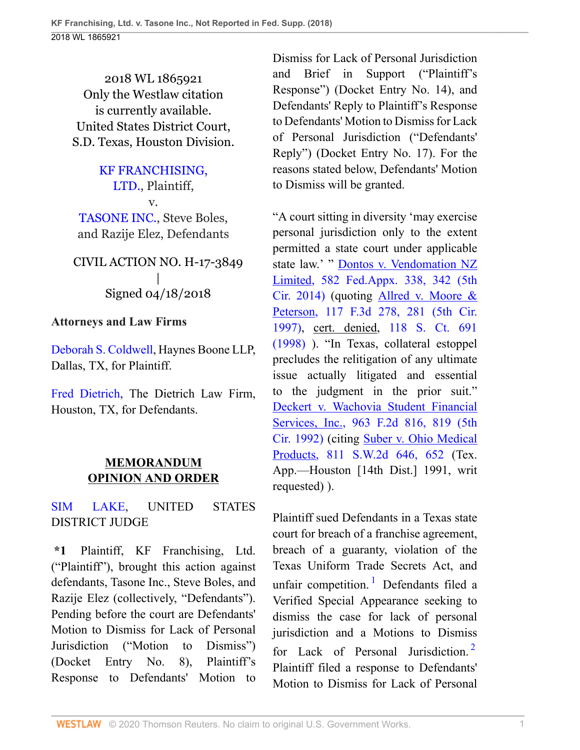2018 WL 1865921 Only the Westlaw citation is currently available. United States District Court, S.D. Texas, Houston Division.

[KF FRANCHISING,](http://www.westlaw.com/Search/Results.html?query=advanced%3a+OAID(5004510636)&saveJuris=False&contentType=BUSINESS-INVESTIGATOR&startIndex=1&contextData=(sc.Default)&categoryPageUrl=Home%2fCompanyInvestigator&originationContext=document&vr=3.0&rs=cblt1.0&transitionType=DocumentItem) [LTD.](http://www.westlaw.com/Search/Results.html?query=advanced%3a+OAID(5004510636)&saveJuris=False&contentType=BUSINESS-INVESTIGATOR&startIndex=1&contextData=(sc.Default)&categoryPageUrl=Home%2fCompanyInvestigator&originationContext=document&vr=3.0&rs=cblt1.0&transitionType=DocumentItem), Plaintiff, v. [TASONE INC.,](http://www.westlaw.com/Search/Results.html?query=advanced%3a+OAID(5006904815)&saveJuris=False&contentType=BUSINESS-INVESTIGATOR&startIndex=1&contextData=(sc.Default)&categoryPageUrl=Home%2fCompanyInvestigator&originationContext=document&vr=3.0&rs=cblt1.0&transitionType=DocumentItem) Steve Boles, and Razije Elez, Defendants

CIVIL ACTION NO. H-17-3849 | Signed 04/18/2018

## **Attorneys and Law Firms**

[Deborah S. Coldwell,](http://www.westlaw.com/Link/Document/FullText?findType=h&pubNum=176284&cite=0330168201&originatingDoc=I8e30fce043ef11e89d46ed79fb792237&refType=RQ&originationContext=document&vr=3.0&rs=cblt1.0&transitionType=DocumentItem&contextData=(sc.UserEnteredCitation)) Haynes Boone LLP, Dallas, TX, for Plaintiff.

[Fred Dietrich,](http://www.westlaw.com/Link/Document/FullText?findType=h&pubNum=176284&cite=0302315701&originatingDoc=I8e30fce043ef11e89d46ed79fb792237&refType=RQ&originationContext=document&vr=3.0&rs=cblt1.0&transitionType=DocumentItem&contextData=(sc.UserEnteredCitation)) The Dietrich Law Firm, Houston, TX, for Defendants.

## **MEMORANDUM OPINION AND ORDER**

[SIM LAKE](http://www.westlaw.com/Link/Document/FullText?findType=h&pubNum=176284&cite=0124509201&originatingDoc=I8e30fce043ef11e89d46ed79fb792237&refType=RQ&originationContext=document&vr=3.0&rs=cblt1.0&transitionType=DocumentItem&contextData=(sc.UserEnteredCitation)), UNITED STATES DISTRICT JUDGE

**\*1** Plaintiff, KF Franchising, Ltd. ("Plaintiff"), brought this action against defendants, Tasone Inc., Steve Boles, and Razije Elez (collectively, "Defendants"). Pending before the court are Defendants' Motion to Dismiss for Lack of Personal Jurisdiction ("Motion to Dismiss") (Docket Entry No. 8), Plaintiff's Response to Defendants' Motion to

Dismiss for Lack of Personal Jurisdiction and Brief in Support ("Plaintiff's Response") (Docket Entry No. 14), and Defendants' Reply to Plaintiff's Response to Defendants' Motion to Dismiss for Lack of Personal Jurisdiction ("Defendants' Reply") (Docket Entry No. 17). For the reasons stated below, Defendants' Motion to Dismiss will be granted.

"A court sitting in diversity 'may exercise personal jurisdiction only to the extent permitted a state court under applicable state law.' " [Dontos v. Vendomation NZ](http://www.westlaw.com/Link/Document/FullText?findType=Y&serNum=2034334665&pubNum=0006538&originatingDoc=I8e30fce043ef11e89d46ed79fb792237&refType=RP&fi=co_pp_sp_6538_342&originationContext=document&vr=3.0&rs=cblt1.0&transitionType=DocumentItem&contextData=(sc.UserEnteredCitation)#co_pp_sp_6538_342) [Limited, 582 Fed.Appx. 338, 342 \(5th](http://www.westlaw.com/Link/Document/FullText?findType=Y&serNum=2034334665&pubNum=0006538&originatingDoc=I8e30fce043ef11e89d46ed79fb792237&refType=RP&fi=co_pp_sp_6538_342&originationContext=document&vr=3.0&rs=cblt1.0&transitionType=DocumentItem&contextData=(sc.UserEnteredCitation)#co_pp_sp_6538_342) [Cir. 2014\)](http://www.westlaw.com/Link/Document/FullText?findType=Y&serNum=2034334665&pubNum=0006538&originatingDoc=I8e30fce043ef11e89d46ed79fb792237&refType=RP&fi=co_pp_sp_6538_342&originationContext=document&vr=3.0&rs=cblt1.0&transitionType=DocumentItem&contextData=(sc.UserEnteredCitation)#co_pp_sp_6538_342) (quoting [Allred v. Moore &](http://www.westlaw.com/Link/Document/FullText?findType=Y&serNum=1997141616&pubNum=0000506&originatingDoc=I8e30fce043ef11e89d46ed79fb792237&refType=RP&fi=co_pp_sp_506_281&originationContext=document&vr=3.0&rs=cblt1.0&transitionType=DocumentItem&contextData=(sc.UserEnteredCitation)#co_pp_sp_506_281) [Peterson, 117 F.3d 278, 281 \(5th Cir.](http://www.westlaw.com/Link/Document/FullText?findType=Y&serNum=1997141616&pubNum=0000506&originatingDoc=I8e30fce043ef11e89d46ed79fb792237&refType=RP&fi=co_pp_sp_506_281&originationContext=document&vr=3.0&rs=cblt1.0&transitionType=DocumentItem&contextData=(sc.UserEnteredCitation)#co_pp_sp_506_281) [1997\)](http://www.westlaw.com/Link/Document/FullText?findType=Y&serNum=1997141616&pubNum=0000506&originatingDoc=I8e30fce043ef11e89d46ed79fb792237&refType=RP&fi=co_pp_sp_506_281&originationContext=document&vr=3.0&rs=cblt1.0&transitionType=DocumentItem&contextData=(sc.UserEnteredCitation)#co_pp_sp_506_281), cert. denied, [118 S. Ct. 691](http://www.westlaw.com/Link/Document/FullText?findType=Y&serNum=1997217142&pubNum=0000708&originatingDoc=I8e30fce043ef11e89d46ed79fb792237&refType=RP&originationContext=document&vr=3.0&rs=cblt1.0&transitionType=DocumentItem&contextData=(sc.UserEnteredCitation)) [\(1998\)](http://www.westlaw.com/Link/Document/FullText?findType=Y&serNum=1997217142&pubNum=0000708&originatingDoc=I8e30fce043ef11e89d46ed79fb792237&refType=RP&originationContext=document&vr=3.0&rs=cblt1.0&transitionType=DocumentItem&contextData=(sc.UserEnteredCitation)) ). "In Texas, collateral estoppel precludes the relitigation of any ultimate issue actually litigated and essential to the judgment in the prior suit." [Deckert v. Wachovia Student Financial](http://www.westlaw.com/Link/Document/FullText?findType=Y&serNum=1992105541&pubNum=0000350&originatingDoc=I8e30fce043ef11e89d46ed79fb792237&refType=RP&fi=co_pp_sp_350_819&originationContext=document&vr=3.0&rs=cblt1.0&transitionType=DocumentItem&contextData=(sc.UserEnteredCitation)#co_pp_sp_350_819) [Services, Inc., 963 F.2d 816, 819 \(5th](http://www.westlaw.com/Link/Document/FullText?findType=Y&serNum=1992105541&pubNum=0000350&originatingDoc=I8e30fce043ef11e89d46ed79fb792237&refType=RP&fi=co_pp_sp_350_819&originationContext=document&vr=3.0&rs=cblt1.0&transitionType=DocumentItem&contextData=(sc.UserEnteredCitation)#co_pp_sp_350_819) [Cir. 1992\)](http://www.westlaw.com/Link/Document/FullText?findType=Y&serNum=1992105541&pubNum=0000350&originatingDoc=I8e30fce043ef11e89d46ed79fb792237&refType=RP&fi=co_pp_sp_350_819&originationContext=document&vr=3.0&rs=cblt1.0&transitionType=DocumentItem&contextData=(sc.UserEnteredCitation)#co_pp_sp_350_819) (citing [Suber v. Ohio Medical](http://www.westlaw.com/Link/Document/FullText?findType=Y&serNum=1991102432&pubNum=0000713&originatingDoc=I8e30fce043ef11e89d46ed79fb792237&refType=RP&fi=co_pp_sp_713_652&originationContext=document&vr=3.0&rs=cblt1.0&transitionType=DocumentItem&contextData=(sc.UserEnteredCitation)#co_pp_sp_713_652) [Products, 811 S.W.2d 646, 652](http://www.westlaw.com/Link/Document/FullText?findType=Y&serNum=1991102432&pubNum=0000713&originatingDoc=I8e30fce043ef11e89d46ed79fb792237&refType=RP&fi=co_pp_sp_713_652&originationContext=document&vr=3.0&rs=cblt1.0&transitionType=DocumentItem&contextData=(sc.UserEnteredCitation)#co_pp_sp_713_652) (Tex. App.—Houston [14th Dist.] 1991, writ requested) ).

<span id="page-0-1"></span><span id="page-0-0"></span>Plaintiff sued Defendants in a Texas state court for breach of a franchise agreement, breach of a guaranty, violation of the Texas Uniform Trade Secrets Act, and unfair competition.<sup>[1](#page-1-0)</sup> Defendants filed a Verified Special Appearance seeking to dismiss the case for lack of personal jurisdiction and a Motions to Dismiss for Lack of Personal Jurisdiction.<sup>[2](#page-1-1)</sup> Plaintiff filed a response to Defendants' Motion to Dismiss for Lack of Personal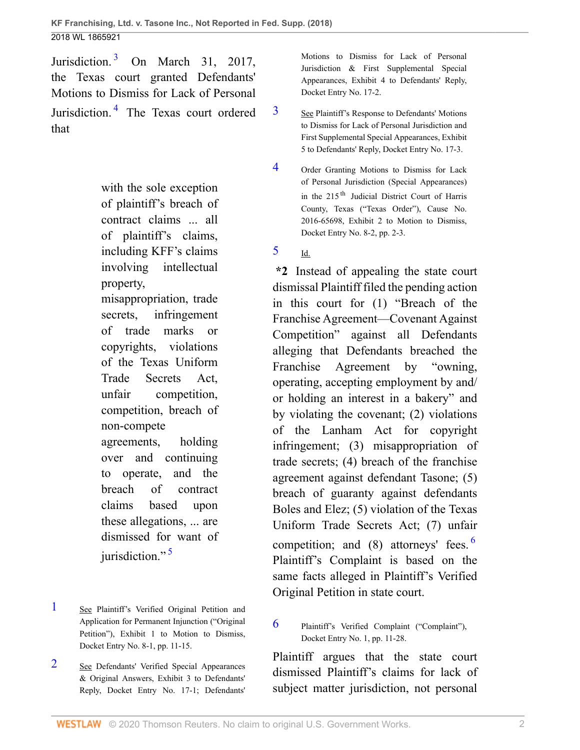<span id="page-1-6"></span><span id="page-1-5"></span>Jurisdiction.<sup>[3](#page-1-2)</sup> On March 31, 2017, the Texas court granted Defendants' Motions to Dismiss for Lack of Personal Jurisdiction.<sup>[4](#page-1-3)</sup> The Texas court ordered that

> with the sole exception of plaintiff's breach of contract claims ... all of plaintiff's claims, including KFF's claims involving intellectual property, misappropriation, trade secrets, infringement of trade marks or copyrights, violations of the Texas Uniform Trade Secrets Act, unfair competition, competition, breach of non-compete agreements, holding over and continuing to operate, and the breach of contract

<span id="page-1-7"></span>claims based upon these allegations, ... are dismissed for want of jurisdiction."<sup>[5](#page-1-4)</sup>

- <span id="page-1-0"></span>[1](#page-0-0) See Plaintiff's Verified Original Petition and Application for Permanent Injunction ("Original Petition"), Exhibit 1 to Motion to Dismiss, Docket Entry No. 8-1, pp. 11-15.
- <span id="page-1-1"></span>[2](#page-0-1) See Defendants' Verified Special Appearances & Original Answers, Exhibit 3 to Defendants' Reply, Docket Entry No. 17-1; Defendants'

Motions to Dismiss for Lack of Personal Jurisdiction & First Supplemental Special Appearances, Exhibit 4 to Defendants' Reply, Docket Entry No. 17-2.

- <span id="page-1-2"></span>[3](#page-1-5) See Plaintiff's Response to Defendants' Motions to Dismiss for Lack of Personal Jurisdiction and First Supplemental Special Appearances, Exhibit 5 to Defendants' Reply, Docket Entry No. 17-3.
- <span id="page-1-3"></span>[4](#page-1-6) Order Granting Motions to Dismiss for Lack of Personal Jurisdiction (Special Appearances) in the 215<sup>th</sup> Judicial District Court of Harris County, Texas ("Texas Order"), Cause No. 2016-65698, Exhibit 2 to Motion to Dismiss, Docket Entry No. 8-2, pp. 2-3.
- <span id="page-1-4"></span>[5](#page-1-7) Id.

**\*2** Instead of appealing the state court dismissal Plaintiff filed the pending action in this court for (1) "Breach of the Franchise Agreement—Covenant Against Competition" against all Defendants alleging that Defendants breached the Franchise Agreement by "owning, operating, accepting employment by and/ or holding an interest in a bakery" and by violating the covenant; (2) violations of the Lanham Act for copyright infringement; (3) misappropriation of trade secrets; (4) breach of the franchise agreement against defendant Tasone; (5) breach of guaranty against defendants Boles and Elez; (5) violation of the Texas Uniform Trade Secrets Act; (7) unfair competition; and (8) attorneys' fees. [6](#page-1-8) Plaintiff's Complaint is based on the same facts alleged in Plaintiff's Verified Original Petition in state court.

<span id="page-1-9"></span><span id="page-1-8"></span>[6](#page-1-9) Plaintiff's Verified Complaint ("Complaint"), Docket Entry No. 1, pp. 11-28.

Plaintiff argues that the state court dismissed Plaintiff's claims for lack of subject matter jurisdiction, not personal